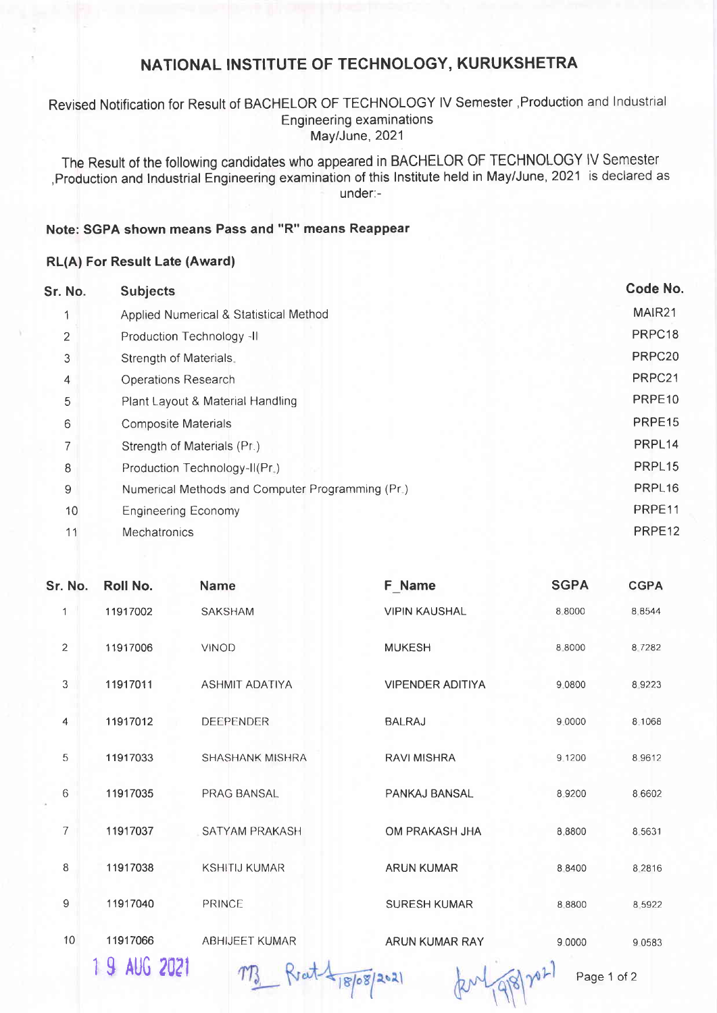# NATIONAL INSTITUTE OF TECHNOLOGY, KURUKSHETRA

### Revised Notification for Result of BACHELOR OF TECHNOLOGY lV Semester ,Production and lndustrial Engineering examinations May/June, 2021

The Result of the following candidates who appeared in BACHELOR OF TECHNOLOGY lV Semester ,Production and lndustrial Engineering examination of this lnstitute held in May/June, 2021 is declared as under:-

## Note: SGPA shown means Pass and "R" means Reappear

### RL(A) For Result Late (Award)

| Sr. No. | <b>Subjects</b>                                  | Code No.           |
|---------|--------------------------------------------------|--------------------|
|         | Applied Numerical & Statistical Method           | MAIR21             |
| 2       | Production Technology -II                        | PRPC18             |
| 3       | Strength of Materials.                           | PRPC <sub>20</sub> |
| 4       | <b>Operations Research</b>                       | PRPC21             |
| 5       | Plant Layout & Material Handling                 | PRPE <sub>10</sub> |
| 6       | <b>Composite Materials</b>                       | PRPE <sub>15</sub> |
| 7       | Strength of Materials (Pr.)                      | PRPL <sub>14</sub> |
| 8       | Production Technology-II(Pr.)                    | PRPL <sub>15</sub> |
| 9       | Numerical Methods and Computer Programming (Pr.) | PRPL <sub>16</sub> |
| 10      | <b>Engineering Economy</b>                       | PRPE11             |
| 11      | Mechatronics                                     | PRPE <sub>12</sub> |
|         |                                                  |                    |

| Sr. No.        | Roll No.     | Name                   | F Name                  | <b>SGPA</b> | <b>CGPA</b> |
|----------------|--------------|------------------------|-------------------------|-------------|-------------|
| 1              | 11917002     | <b>SAKSHAM</b>         | <b>VIPIN KAUSHAL</b>    | 8 8000      | 8.8544      |
| $\overline{c}$ | 11917006     | <b>VINOD</b>           | <b>MUKESH</b>           | 8.8000      | 8.7282      |
| $\mathfrak{Z}$ | 11917011     | <b>ASHMIT ADATIYA</b>  | <b>VIPENDER ADITIYA</b> | 9.0800      | 8 9 2 2 3   |
| $\overline{4}$ | 11917012     | <b>DEEPENDER</b>       | <b>BALRAJ</b>           | 9.0000      | 8.1068      |
| 5              | 11917033     | <b>SHASHANK MISHRA</b> | <b>RAVI MISHRA</b>      | 9.1200      | 8 9 6 1 2   |
| $\,6\,$        | 11917035     | PRAG BANSAL            | PANKAJ BANSAL           | 8.9200      | 8.6602      |
| $\overline{7}$ | 11917037     | SATYAM PRAKASH         | OM PRAKASH JHA          | 8.8800      | 8.5631      |
| 8              | 11917038     | <b>KSHITIJ KUMAR</b>   | <b>ARUN KUMAR</b>       | 8.8400      | 8.2816      |
| 9              | 11917040     | PRINCE                 | <b>SURESH KUMAR</b>     | 8.8800      | 8 5 9 2 2   |
| 10             | 11917066     | ABHIJEET KUMAR         | ARUN KUMAR RAY          | 9.0000      | 9 0 5 8 3   |
|                | 1 9 AUG 2021 | 1868/202               | $\sim$                  | Page 1 of 2 |             |

Page 1 of 2